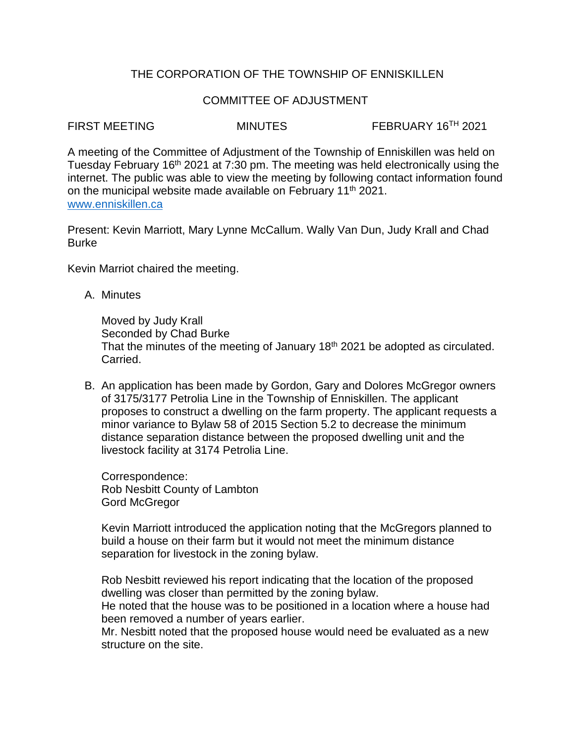# THE CORPORATION OF THE TOWNSHIP OF ENNISKILLEN

## COMMITTEE OF ADJUSTMENT

FIRST MEETING MINUTES FEBRUARY 16<sup>TH</sup> 2021

A meeting of the Committee of Adjustment of the Township of Enniskillen was held on Tuesday February 16<sup>th</sup> 2021 at 7:30 pm. The meeting was held electronically using the internet. The public was able to view the meeting by following contact information found on the municipal website made available on February 11<sup>th</sup> 2021. [www.enniskillen.ca](http://www.enniskillen.ca/)

Present: Kevin Marriott, Mary Lynne McCallum. Wally Van Dun, Judy Krall and Chad **Burke** 

Kevin Marriot chaired the meeting.

A. Minutes

Moved by Judy Krall Seconded by Chad Burke That the minutes of the meeting of January 18<sup>th</sup> 2021 be adopted as circulated. Carried.

B. An application has been made by Gordon, Gary and Dolores McGregor owners of 3175/3177 Petrolia Line in the Township of Enniskillen. The applicant proposes to construct a dwelling on the farm property. The applicant requests a minor variance to Bylaw 58 of 2015 Section 5.2 to decrease the minimum distance separation distance between the proposed dwelling unit and the livestock facility at 3174 Petrolia Line.

Correspondence: Rob Nesbitt County of Lambton Gord McGregor

Kevin Marriott introduced the application noting that the McGregors planned to build a house on their farm but it would not meet the minimum distance separation for livestock in the zoning bylaw.

Rob Nesbitt reviewed his report indicating that the location of the proposed dwelling was closer than permitted by the zoning bylaw.

He noted that the house was to be positioned in a location where a house had been removed a number of years earlier.

Mr. Nesbitt noted that the proposed house would need be evaluated as a new structure on the site.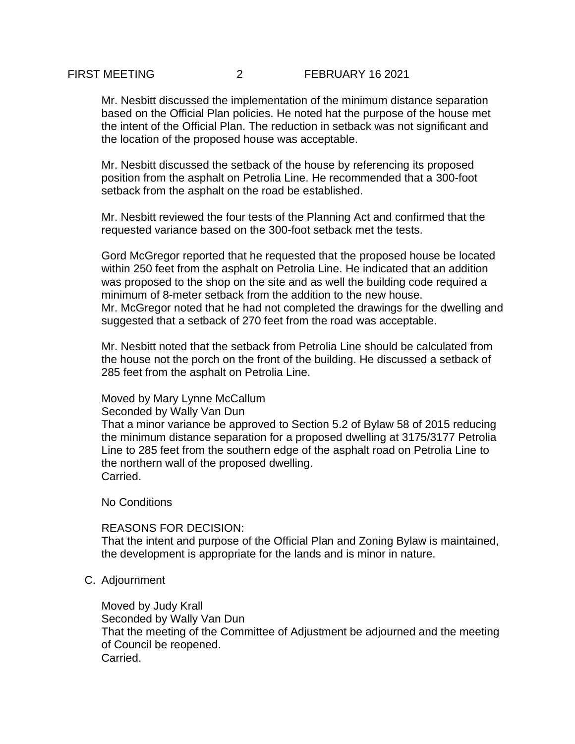## FIRST MEETING 2 FEBRUARY 16 2021

Mr. Nesbitt discussed the implementation of the minimum distance separation based on the Official Plan policies. He noted hat the purpose of the house met the intent of the Official Plan. The reduction in setback was not significant and the location of the proposed house was acceptable.

Mr. Nesbitt discussed the setback of the house by referencing its proposed position from the asphalt on Petrolia Line. He recommended that a 300-foot setback from the asphalt on the road be established.

Mr. Nesbitt reviewed the four tests of the Planning Act and confirmed that the requested variance based on the 300-foot setback met the tests.

Gord McGregor reported that he requested that the proposed house be located within 250 feet from the asphalt on Petrolia Line. He indicated that an addition was proposed to the shop on the site and as well the building code required a minimum of 8-meter setback from the addition to the new house. Mr. McGregor noted that he had not completed the drawings for the dwelling and suggested that a setback of 270 feet from the road was acceptable.

Mr. Nesbitt noted that the setback from Petrolia Line should be calculated from the house not the porch on the front of the building. He discussed a setback of 285 feet from the asphalt on Petrolia Line.

### Moved by Mary Lynne McCallum

Seconded by Wally Van Dun

That a minor variance be approved to Section 5.2 of Bylaw 58 of 2015 reducing the minimum distance separation for a proposed dwelling at 3175/3177 Petrolia Line to 285 feet from the southern edge of the asphalt road on Petrolia Line to the northern wall of the proposed dwelling. Carried.

No Conditions

### REASONS FOR DECISION:

That the intent and purpose of the Official Plan and Zoning Bylaw is maintained, the development is appropriate for the lands and is minor in nature.

C. Adjournment

Moved by Judy Krall Seconded by Wally Van Dun That the meeting of the Committee of Adjustment be adjourned and the meeting of Council be reopened. Carried.